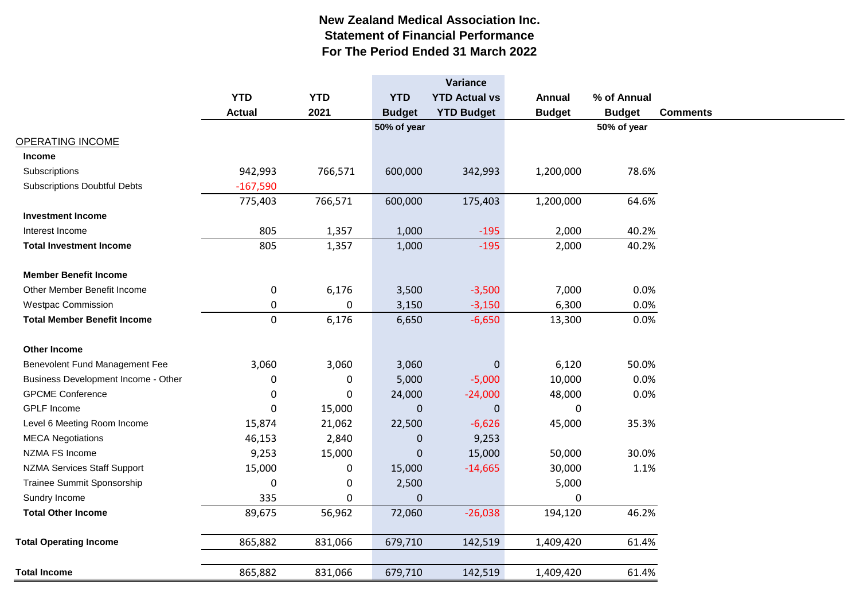## **New Zealand Medical Association Inc. Statement of Financial Performance For The Period Ended 31 March 2022**

|                                     |               |             |               | Variance             |               |               |                 |
|-------------------------------------|---------------|-------------|---------------|----------------------|---------------|---------------|-----------------|
|                                     | <b>YTD</b>    | <b>YTD</b>  | <b>YTD</b>    | <b>YTD Actual vs</b> | <b>Annual</b> | % of Annual   |                 |
|                                     | <b>Actual</b> | 2021        | <b>Budget</b> | <b>YTD Budget</b>    | <b>Budget</b> | <b>Budget</b> | <b>Comments</b> |
|                                     |               |             | 50% of year   |                      |               | 50% of year   |                 |
| <b>OPERATING INCOME</b>             |               |             |               |                      |               |               |                 |
| <b>Income</b>                       |               |             |               |                      |               |               |                 |
| Subscriptions                       | 942,993       | 766,571     | 600,000       | 342,993              | 1,200,000     | 78.6%         |                 |
| <b>Subscriptions Doubtful Debts</b> | $-167,590$    |             |               |                      |               |               |                 |
|                                     | 775,403       | 766,571     | 600,000       | 175,403              | 1,200,000     | 64.6%         |                 |
| <b>Investment Income</b>            |               |             |               |                      |               |               |                 |
| Interest Income                     | 805           | 1,357       | 1,000         | $-195$               | 2,000         | 40.2%         |                 |
| <b>Total Investment Income</b>      | 805           | 1,357       | 1,000         | $-195$               | 2,000         | 40.2%         |                 |
|                                     |               |             |               |                      |               |               |                 |
| <b>Member Benefit Income</b>        |               |             |               |                      |               |               |                 |
| Other Member Benefit Income         | $\pmb{0}$     | 6,176       | 3,500         | $-3,500$             | 7,000         | 0.0%          |                 |
| <b>Westpac Commission</b>           | 0             | $\mathbf 0$ | 3,150         | $-3,150$             | 6,300         | 0.0%          |                 |
| <b>Total Member Benefit Income</b>  | $\mathbf 0$   | 6,176       | 6,650         | $-6,650$             | 13,300        | 0.0%          |                 |
| <b>Other Income</b>                 |               |             |               |                      |               |               |                 |
| Benevolent Fund Management Fee      | 3,060         | 3,060       | 3,060         | 0                    | 6,120         | 50.0%         |                 |
| Business Development Income - Other | 0             | $\pmb{0}$   | 5,000         | $-5,000$             | 10,000        | 0.0%          |                 |
| <b>GPCME Conference</b>             | 0             | 0           | 24,000        | $-24,000$            | 48,000        | 0.0%          |                 |
| <b>GPLF</b> Income                  | 0             | 15,000      | $\Omega$      | 0                    | 0             |               |                 |
| Level 6 Meeting Room Income         | 15,874        | 21,062      | 22,500        | $-6,626$             | 45,000        | 35.3%         |                 |
| <b>MECA Negotiations</b>            | 46,153        | 2,840       | 0             | 9,253                |               |               |                 |
| NZMA FS Income                      | 9,253         | 15,000      | $\mathbf 0$   | 15,000               | 50,000        | 30.0%         |                 |
| <b>NZMA Services Staff Support</b>  | 15,000        | $\pmb{0}$   | 15,000        | $-14,665$            | 30,000        | 1.1%          |                 |
| Trainee Summit Sponsorship          | 0             | $\pmb{0}$   | 2,500         |                      | 5,000         |               |                 |
| Sundry Income                       | 335           | 0           | $\Omega$      |                      | $\mathbf{0}$  |               |                 |
| <b>Total Other Income</b>           | 89,675        | 56,962      | 72,060        | $-26,038$            | 194,120       | 46.2%         |                 |
| <b>Total Operating Income</b>       | 865,882       | 831,066     | 679,710       | 142,519              | 1,409,420     | 61.4%         |                 |
|                                     |               |             |               |                      |               |               |                 |
| <b>Total Income</b>                 | 865,882       | 831,066     | 679,710       | 142,519              | 1,409,420     | 61.4%         |                 |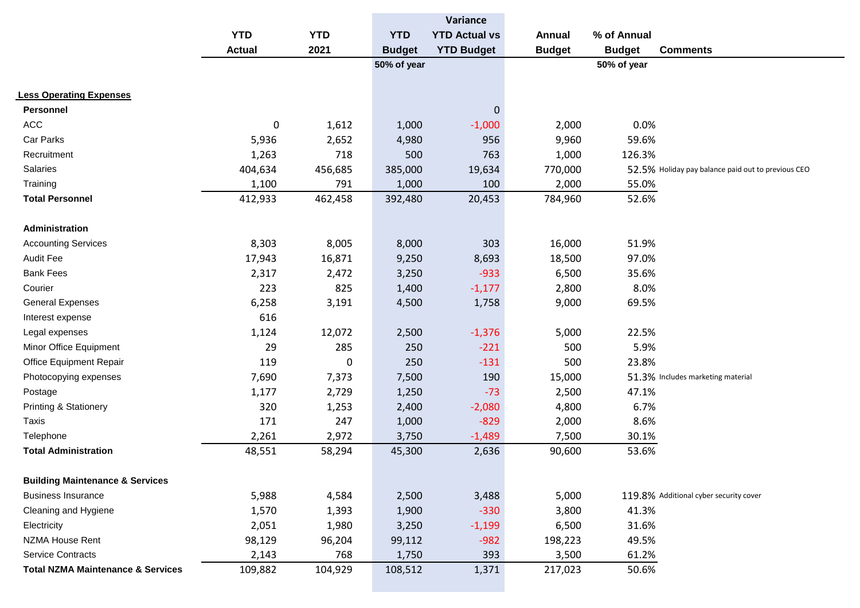|                                              |               |            |               | Variance             |               |               |                                                    |
|----------------------------------------------|---------------|------------|---------------|----------------------|---------------|---------------|----------------------------------------------------|
|                                              | <b>YTD</b>    | <b>YTD</b> | <b>YTD</b>    | <b>YTD Actual vs</b> | <b>Annual</b> | % of Annual   |                                                    |
|                                              | <b>Actual</b> | 2021       | <b>Budget</b> | <b>YTD Budget</b>    | <b>Budget</b> | <b>Budget</b> | <b>Comments</b>                                    |
|                                              |               |            | 50% of year   |                      |               | 50% of year   |                                                    |
|                                              |               |            |               |                      |               |               |                                                    |
| <b>Less Operating Expenses</b>               |               |            |               |                      |               |               |                                                    |
| Personnel                                    |               |            |               | $\pmb{0}$            |               |               |                                                    |
| ACC                                          | $\pmb{0}$     | 1,612      | 1,000         | $-1,000$             | 2,000         | 0.0%          |                                                    |
| Car Parks                                    | 5,936         | 2,652      | 4,980         | 956                  | 9,960         | 59.6%         |                                                    |
| Recruitment                                  | 1,263         | 718        | 500           | 763                  | 1,000         | 126.3%        |                                                    |
| Salaries                                     | 404,634       | 456,685    | 385,000       | 19,634               | 770,000       |               | 52.5% Holiday pay balance paid out to previous CEO |
| Training                                     | 1,100         | 791        | 1,000         | 100                  | 2,000         | 55.0%         |                                                    |
| <b>Total Personnel</b>                       | 412,933       | 462,458    | 392,480       | 20,453               | 784,960       | 52.6%         |                                                    |
|                                              |               |            |               |                      |               |               |                                                    |
| Administration                               |               |            |               |                      |               |               |                                                    |
| <b>Accounting Services</b>                   | 8,303         | 8,005      | 8,000         | 303                  | 16,000        | 51.9%         |                                                    |
| <b>Audit Fee</b>                             | 17,943        | 16,871     | 9,250         | 8,693                | 18,500        | 97.0%         |                                                    |
| <b>Bank Fees</b>                             | 2,317         | 2,472      | 3,250         | $-933$               | 6,500         | 35.6%         |                                                    |
| Courier                                      | 223           | 825        | 1,400         | $-1,177$             | 2,800         | 8.0%          |                                                    |
| <b>General Expenses</b>                      | 6,258         | 3,191      | 4,500         | 1,758                | 9,000         | 69.5%         |                                                    |
| Interest expense                             | 616           |            |               |                      |               |               |                                                    |
| Legal expenses                               | 1,124         | 12,072     | 2,500         | $-1,376$             | 5,000         | 22.5%         |                                                    |
| Minor Office Equipment                       | 29            | 285        | 250           | $-221$               | 500           | 5.9%          |                                                    |
| Office Equipment Repair                      | 119           | 0          | 250           | $-131$               | 500           | 23.8%         |                                                    |
| Photocopying expenses                        | 7,690         | 7,373      | 7,500         | 190                  | 15,000        |               | 51.3% Includes marketing material                  |
| Postage                                      | 1,177         | 2,729      | 1,250         | $-73$                | 2,500         | 47.1%         |                                                    |
| <b>Printing &amp; Stationery</b>             | 320           | 1,253      | 2,400         | $-2,080$             | 4,800         | 6.7%          |                                                    |
| Taxis                                        | 171           | 247        | 1,000         | $-829$               | 2,000         | 8.6%          |                                                    |
| Telephone                                    | 2,261         | 2,972      | 3,750         | $-1,489$             | 7,500         | 30.1%         |                                                    |
| <b>Total Administration</b>                  | 48,551        | 58,294     | 45,300        | 2,636                | 90,600        | 53.6%         |                                                    |
|                                              |               |            |               |                      |               |               |                                                    |
| <b>Building Maintenance &amp; Services</b>   |               |            |               |                      |               |               |                                                    |
| <b>Business Insurance</b>                    | 5,988         | 4,584      | 2,500         | 3,488                | 5,000         |               | 119.8% Additional cyber security cover             |
| Cleaning and Hygiene                         | 1,570         | 1,393      | 1,900         | $-330$               | 3,800         | 41.3%         |                                                    |
| Electricity                                  | 2,051         | 1,980      | 3,250         | $-1,199$             | 6,500         | 31.6%         |                                                    |
| NZMA House Rent                              | 98,129        | 96,204     | 99,112        | $-982$               | 198,223       | 49.5%         |                                                    |
| <b>Service Contracts</b>                     | 2,143         | 768        | 1,750         | 393                  | 3,500         | 61.2%         |                                                    |
| <b>Total NZMA Maintenance &amp; Services</b> | 109,882       | 104,929    | 108,512       | 1,371                | 217,023       | 50.6%         |                                                    |
|                                              |               |            |               |                      |               |               |                                                    |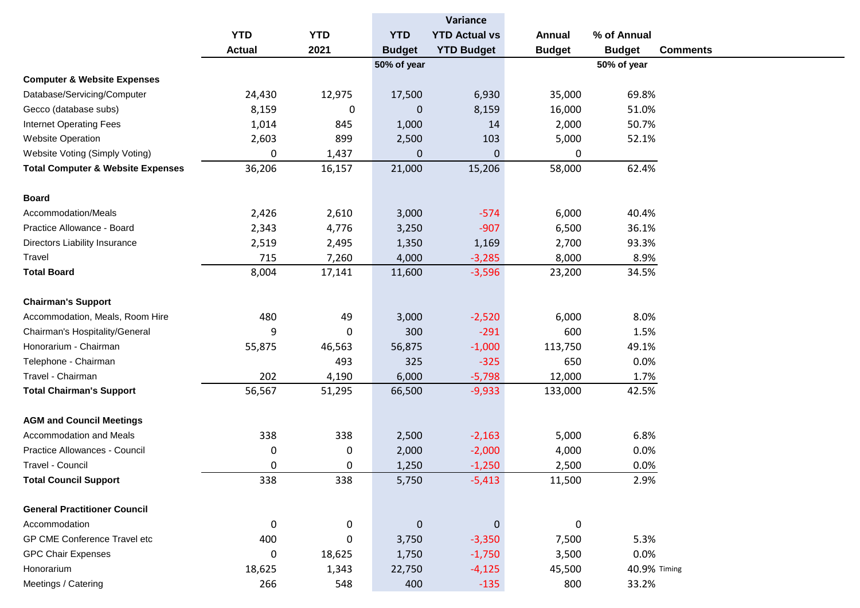|                                              |               |             |               | Variance             |               |               |
|----------------------------------------------|---------------|-------------|---------------|----------------------|---------------|---------------|
|                                              | <b>YTD</b>    | <b>YTD</b>  | <b>YTD</b>    | <b>YTD Actual vs</b> | Annual        | % of Annual   |
|                                              | <b>Actual</b> | 2021        | <b>Budget</b> | <b>YTD Budget</b>    | <b>Budget</b> | <b>Budget</b> |
|                                              |               |             | 50% of year   |                      |               | 50% of year   |
| <b>Computer &amp; Website Expenses</b>       |               |             |               |                      |               |               |
| Database/Servicing/Computer                  | 24,430        | 12,975      | 17,500        | 6,930                | 35,000        | 69.8%         |
| Gecco (database subs)                        | 8,159         | 0           | 0             | 8,159                | 16,000        | 51.0%         |
| <b>Internet Operating Fees</b>               | 1,014         | 845         | 1,000         | 14                   | 2,000         | 50.7%         |
| <b>Website Operation</b>                     | 2,603         | 899         | 2,500         | 103                  | 5,000         | 52.1%         |
| Website Voting (Simply Voting)               | 0             | 1,437       | $\mathbf 0$   | $\mathbf 0$          | 0             |               |
| <b>Total Computer &amp; Website Expenses</b> | 36,206        | 16,157      | 21,000        | 15,206               | 58,000        | 62.4%         |
| <b>Board</b>                                 |               |             |               |                      |               |               |
| Accommodation/Meals                          | 2,426         | 2,610       | 3,000         | $-574$               | 6,000         | 40.4%         |
| Practice Allowance - Board                   | 2,343         | 4,776       | 3,250         | $-907$               | 6,500         | 36.1%         |
| Directors Liability Insurance                | 2,519         | 2,495       | 1,350         | 1,169                | 2,700         | 93.3%         |
| Travel                                       | 715           | 7,260       | 4,000         | $-3,285$             | 8,000         | 8.9%          |
| <b>Total Board</b>                           | 8,004         | 17,141      | 11,600        | $-3,596$             | 23,200        | 34.5%         |
| <b>Chairman's Support</b>                    |               |             |               |                      |               |               |
| Accommodation, Meals, Room Hire              | 480           | 49          | 3,000         | $-2,520$             | 6,000         | 8.0%          |
| Chairman's Hospitality/General               | 9             | 0           | 300           | $-291$               | 600           | 1.5%          |
| Honorarium - Chairman                        | 55,875        | 46,563      | 56,875        | $-1,000$             | 113,750       | 49.1%         |
| Telephone - Chairman                         |               | 493         | 325           | $-325$               | 650           | 0.0%          |
| Travel - Chairman                            | 202           | 4,190       | 6,000         | $-5,798$             | 12,000        | 1.7%          |
| <b>Total Chairman's Support</b>              | 56,567        | 51,295      | 66,500        | $-9,933$             | 133,000       | 42.5%         |
| <b>AGM and Council Meetings</b>              |               |             |               |                      |               |               |
| Accommodation and Meals                      | 338           | 338         | 2,500         | $-2,163$             | 5,000         | 6.8%          |
| Practice Allowances - Council                | 0             | $\mathbf 0$ | 2,000         | $-2,000$             | 4,000         | 0.0%          |
| Travel - Council                             | 0             | 0           | 1,250         | $-1,250$             | 2,500         | 0.0%          |
| <b>Total Council Support</b>                 | 338           | 338         | 5,750         | $-5,413$             | 11,500        | 2.9%          |
| <b>General Practitioner Council</b>          |               |             |               |                      |               |               |
| Accommodation                                | 0             | 0           | $\pmb{0}$     | $\mathbf 0$          | $\mathbf 0$   |               |
| GP CME Conference Travel etc                 | 400           | 0           | 3,750         | $-3,350$             | 7,500         | 5.3%          |
| <b>GPC Chair Expenses</b>                    | 0             | 18,625      | 1,750         | $-1,750$             | 3,500         | 0.0%          |
| Honorarium                                   | 18,625        | 1,343       | 22,750        | $-4,125$             | 45,500        | 40.9% Timing  |
| Meetings / Catering                          | 266           | 548         | 400           | $-135$               | 800           | 33.2%         |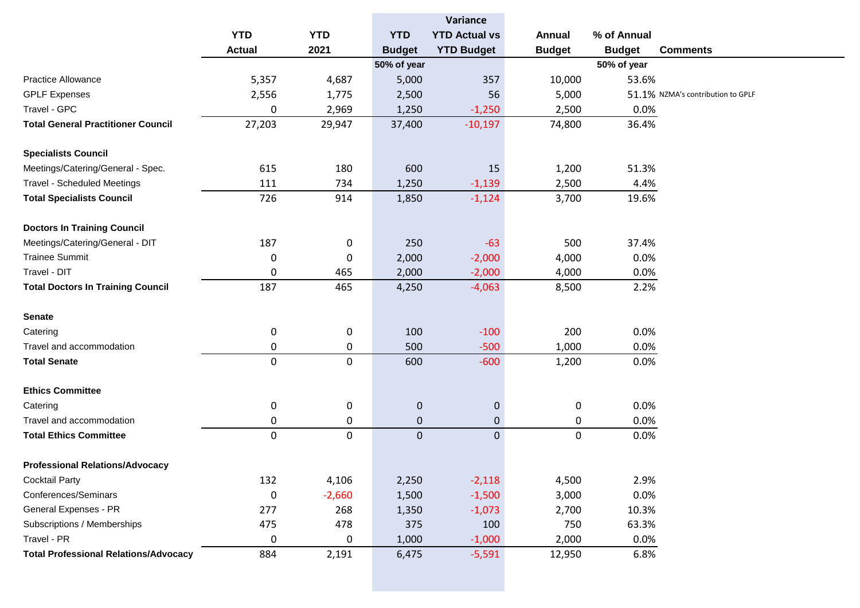|                                              |               |            | Variance      |                      |               |               |                                   |
|----------------------------------------------|---------------|------------|---------------|----------------------|---------------|---------------|-----------------------------------|
|                                              | <b>YTD</b>    | <b>YTD</b> | <b>YTD</b>    | <b>YTD Actual vs</b> | <b>Annual</b> | % of Annual   |                                   |
|                                              | <b>Actual</b> | 2021       | <b>Budget</b> | <b>YTD Budget</b>    | <b>Budget</b> | <b>Budget</b> | <b>Comments</b>                   |
|                                              |               |            | 50% of year   |                      |               | 50% of year   |                                   |
| <b>Practice Allowance</b>                    | 5,357         | 4,687      | 5,000         | 357                  | 10,000        | 53.6%         |                                   |
| <b>GPLF Expenses</b>                         | 2,556         | 1,775      | 2,500         | 56                   | 5,000         |               | 51.1% NZMA's contribution to GPLF |
| Travel - GPC                                 | 0             | 2,969      | 1,250         | $-1,250$             | 2,500         | 0.0%          |                                   |
| <b>Total General Practitioner Council</b>    | 27,203        | 29,947     | 37,400        | $-10,197$            | 74,800        | 36.4%         |                                   |
|                                              |               |            |               |                      |               |               |                                   |
| <b>Specialists Council</b>                   |               |            |               |                      |               |               |                                   |
| Meetings/Catering/General - Spec.            | 615           | 180        | 600           | 15                   | 1,200         | 51.3%         |                                   |
| <b>Travel - Scheduled Meetings</b>           | 111           | 734        | 1,250         | $-1,139$             | 2,500         | 4.4%          |                                   |
| <b>Total Specialists Council</b>             | 726           | 914        | 1,850         | $-1,124$             | 3,700         | 19.6%         |                                   |
|                                              |               |            |               |                      |               |               |                                   |
| <b>Doctors In Training Council</b>           |               |            |               |                      |               |               |                                   |
| Meetings/Catering/General - DIT              | 187           | 0          | 250           | $-63$                | 500           | 37.4%         |                                   |
| <b>Trainee Summit</b>                        | 0             | 0          | 2,000         | $-2,000$             | 4,000         | 0.0%          |                                   |
| Travel - DIT                                 | 0             | 465        | 2,000         | $-2,000$             | 4,000         | 0.0%          |                                   |
| <b>Total Doctors In Training Council</b>     | 187           | 465        | 4,250         | $-4,063$             | 8,500         | 2.2%          |                                   |
|                                              |               |            |               |                      |               |               |                                   |
| <b>Senate</b>                                |               |            |               |                      |               |               |                                   |
| Catering                                     | 0             | 0          | 100           | $-100$               | 200           | 0.0%          |                                   |
| Travel and accommodation                     | 0             | 0          | 500           | $-500$               | 1,000         | 0.0%          |                                   |
| <b>Total Senate</b>                          | 0             | 0          | 600           | $-600$               | 1,200         | 0.0%          |                                   |
|                                              |               |            |               |                      |               |               |                                   |
| <b>Ethics Committee</b>                      |               |            |               |                      |               |               |                                   |
| Catering                                     | 0             | 0          | $\mathbf 0$   | $\mathbf 0$          | 0             | 0.0%          |                                   |
| Travel and accommodation                     | 0             | 0          | $\pmb{0}$     | $\mathbf{0}$         | 0             | 0.0%          |                                   |
| <b>Total Ethics Committee</b>                | 0             | 0          | $\pmb{0}$     | $\overline{0}$       | $\pmb{0}$     | 0.0%          |                                   |
|                                              |               |            |               |                      |               |               |                                   |
| <b>Professional Relations/Advocacy</b>       |               |            |               |                      |               |               |                                   |
| <b>Cocktail Party</b>                        | 132           | 4,106      | 2,250         | $-2,118$             | 4,500         | 2.9%          |                                   |
| Conferences/Seminars                         | 0             | $-2,660$   | 1,500         | $-1,500$             | 3,000         | 0.0%          |                                   |
| General Expenses - PR                        | 277           | 268        | 1,350         | $-1,073$             | 2,700         | 10.3%         |                                   |
| Subscriptions / Memberships                  | 475           | 478        | 375           | 100                  | 750           | 63.3%         |                                   |
| Travel - PR                                  | 0             | 0          | 1,000         | $-1,000$             | 2,000         | 0.0%          |                                   |
| <b>Total Professional Relations/Advocacy</b> | 884           | 2,191      | 6,475         | $-5,591$             | 12,950        | 6.8%          |                                   |
|                                              |               |            |               |                      |               |               |                                   |